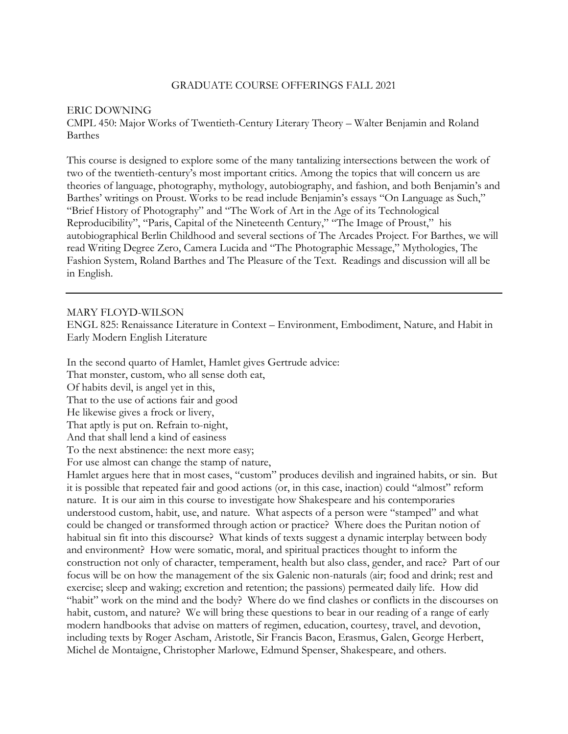### GRADUATE COURSE OFFERINGS FALL 2021

### ERIC DOWNING

CMPL 450: Major Works of Twentieth-Century Literary Theory – Walter Benjamin and Roland Barthes

This course is designed to explore some of the many tantalizing intersections between the work of two of the twentieth-century's most important critics. Among the topics that will concern us are theories of language, photography, mythology, autobiography, and fashion, and both Benjamin's and Barthes' writings on Proust. Works to be read include Benjamin's essays "On Language as Such," "Brief History of Photography" and "The Work of Art in the Age of its Technological Reproducibility", "Paris, Capital of the Nineteenth Century," "The Image of Proust," his autobiographical Berlin Childhood and several sections of The Arcades Project. For Barthes, we will read Writing Degree Zero, Camera Lucida and "The Photographic Message," Mythologies, The Fashion System, Roland Barthes and The Pleasure of the Text. Readings and discussion will all be in English.

#### MARY FLOYD-WILSON

ENGL 825: Renaissance Literature in Context – Environment, Embodiment, Nature, and Habit in Early Modern English Literature

In the second quarto of Hamlet, Hamlet gives Gertrude advice:

That monster, custom, who all sense doth eat,

Of habits devil, is angel yet in this,

That to the use of actions fair and good

He likewise gives a frock or livery,

That aptly is put on. Refrain to-night,

And that shall lend a kind of easiness

To the next abstinence: the next more easy;

For use almost can change the stamp of nature,

Hamlet argues here that in most cases, "custom" produces devilish and ingrained habits, or sin. But it is possible that repeated fair and good actions (or, in this case, inaction) could "almost" reform nature. It is our aim in this course to investigate how Shakespeare and his contemporaries understood custom, habit, use, and nature. What aspects of a person were "stamped" and what could be changed or transformed through action or practice? Where does the Puritan notion of habitual sin fit into this discourse? What kinds of texts suggest a dynamic interplay between body and environment? How were somatic, moral, and spiritual practices thought to inform the construction not only of character, temperament, health but also class, gender, and race? Part of our focus will be on how the management of the six Galenic non-naturals (air; food and drink; rest and exercise; sleep and waking; excretion and retention; the passions) permeated daily life. How did "habit" work on the mind and the body? Where do we find clashes or conflicts in the discourses on habit, custom, and nature? We will bring these questions to bear in our reading of a range of early modern handbooks that advise on matters of regimen, education, courtesy, travel, and devotion, including texts by Roger Ascham, Aristotle, Sir Francis Bacon, Erasmus, Galen, George Herbert, Michel de Montaigne, Christopher Marlowe, Edmund Spenser, Shakespeare, and others.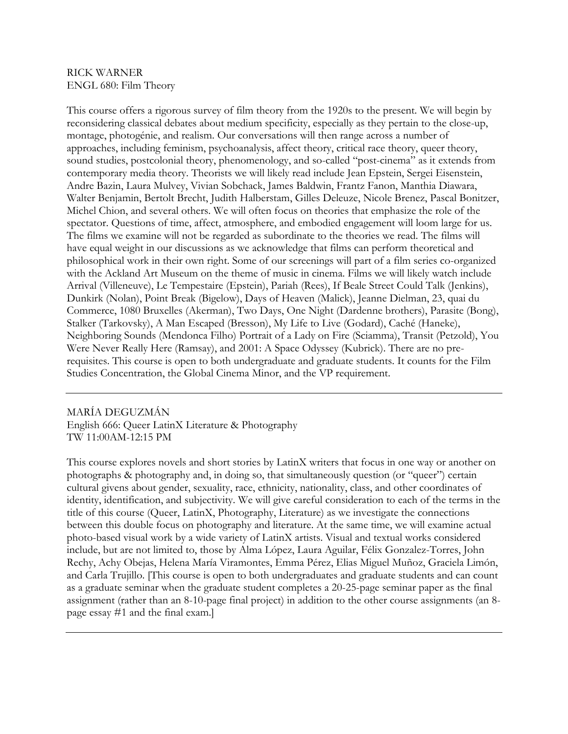### RICK WARNER ENGL 680: Film Theory

This course offers a rigorous survey of film theory from the 1920s to the present. We will begin by reconsidering classical debates about medium specificity, especially as they pertain to the close-up, montage, photogénie, and realism. Our conversations will then range across a number of approaches, including feminism, psychoanalysis, affect theory, critical race theory, queer theory, sound studies, postcolonial theory, phenomenology, and so-called "post-cinema" as it extends from contemporary media theory. Theorists we will likely read include Jean Epstein, Sergei Eisenstein, Andre Bazin, Laura Mulvey, Vivian Sobchack, James Baldwin, Frantz Fanon, Manthia Diawara, Walter Benjamin, Bertolt Brecht, Judith Halberstam, Gilles Deleuze, Nicole Brenez, Pascal Bonitzer, Michel Chion, and several others. We will often focus on theories that emphasize the role of the spectator. Questions of time, affect, atmosphere, and embodied engagement will loom large for us. The films we examine will not be regarded as subordinate to the theories we read. The films will have equal weight in our discussions as we acknowledge that films can perform theoretical and philosophical work in their own right. Some of our screenings will part of a film series co-organized with the Ackland Art Museum on the theme of music in cinema. Films we will likely watch include Arrival (Villeneuve), Le Tempestaire (Epstein), Pariah (Rees), If Beale Street Could Talk (Jenkins), Dunkirk (Nolan), Point Break (Bigelow), Days of Heaven (Malick), Jeanne Dielman, 23, quai du Commerce, 1080 Bruxelles (Akerman), Two Days, One Night (Dardenne brothers), Parasite (Bong), Stalker (Tarkovsky), A Man Escaped (Bresson), My Life to Live (Godard), Caché (Haneke), Neighboring Sounds (Mendonca Filho) Portrait of a Lady on Fire (Sciamma), Transit (Petzold), You Were Never Really Here (Ramsay), and 2001: A Space Odyssey (Kubrick). There are no prerequisites. This course is open to both undergraduate and graduate students. It counts for the Film Studies Concentration, the Global Cinema Minor, and the VP requirement.

## MARÍA DEGUZMÁN English 666: Queer LatinX Literature & Photography TW 11:00AM-12:15 PM

This course explores novels and short stories by LatinX writers that focus in one way or another on photographs & photography and, in doing so, that simultaneously question (or "queer") certain cultural givens about gender, sexuality, race, ethnicity, nationality, class, and other coordinates of identity, identification, and subjectivity. We will give careful consideration to each of the terms in the title of this course (Queer, LatinX, Photography, Literature) as we investigate the connections between this double focus on photography and literature. At the same time, we will examine actual photo-based visual work by a wide variety of LatinX artists. Visual and textual works considered include, but are not limited to, those by Alma López, Laura Aguilar, Félix Gonzalez-Torres, John Rechy, Achy Obejas, Helena María Viramontes, Emma Pérez, Elias Miguel Muñoz, Graciela Limón, and Carla Trujillo. [This course is open to both undergraduates and graduate students and can count as a graduate seminar when the graduate student completes a 20-25-page seminar paper as the final assignment (rather than an 8-10-page final project) in addition to the other course assignments (an 8 page essay #1 and the final exam.]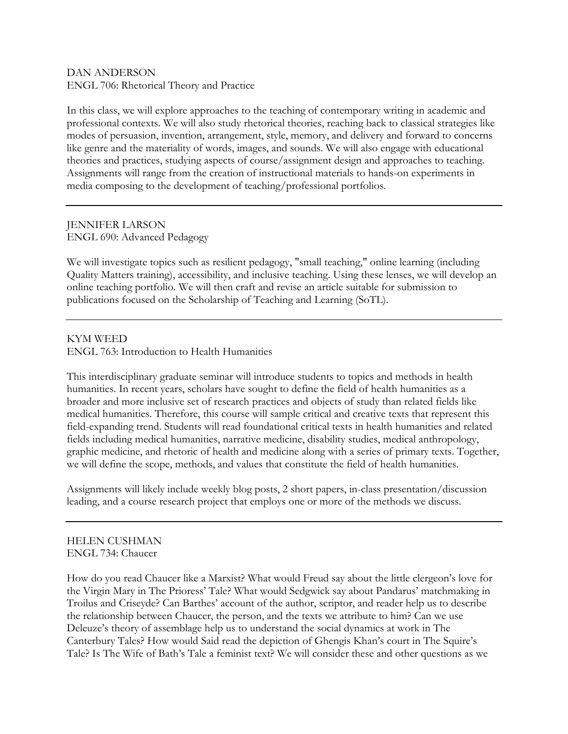## DAN ANDERSON ENGL 706: Rhetorical Theory and Practice

In this class, we will explore approaches to the teaching of contemporary writing in academic and professional contexts. We will also study rhetorical theories, reaching back to classical strategies like modes of persuasion, invention, arrangement, style, memory, and delivery and forward to concerns like genre and the materiality of words, images, and sounds. We will also engage with educational theories and practices, studying aspects of course/assignment design and approaches to teaching. Assignments will range from the creation of instructional materials to hands-on experiments in media composing to the development of teaching/professional portfolios.

## JENNIFER LARSON ENGL 690: Advanced Pedagogy

We will investigate topics such as resilient pedagogy, "small teaching," online learning (including Quality Matters training), accessibility, and inclusive teaching. Using these lenses, we will develop an online teaching portfolio. We will then craft and revise an article suitable for submission to publications focused on the Scholarship of Teaching and Learning (SoTL).

# KYM WEED

ENGL 763: Introduction to Health Humanities

This interdisciplinary graduate seminar will introduce students to topics and methods in health humanities. In recent years, scholars have sought to define the field of health humanities as a broader and more inclusive set of research practices and objects of study than related fields like medical humanities. Therefore, this course will sample critical and creative texts that represent this field-expanding trend. Students will read foundational critical texts in health humanities and related fields including medical humanities, narrative medicine, disability studies, medical anthropology, graphic medicine, and rhetoric of health and medicine along with a series of primary texts. Together, we will define the scope, methods, and values that constitute the field of health humanities.

Assignments will likely include weekly blog posts, 2 short papers, in-class presentation/discussion leading, and a course research project that employs one or more of the methods we discuss.

# HELEN CUSHMAN ENGL 734: Chaucer

How do you read Chaucer like a Marxist? What would Freud say about the little clergeon's love for the Virgin Mary in The Prioress' Tale? What would Sedgwick say about Pandarus' matchmaking in Troilus and Criseyde? Can Barthes' account of the author, scriptor, and reader help us to describe the relationship between Chaucer, the person, and the texts we attribute to him? Can we use Deleuze's theory of assemblage help us to understand the social dynamics at work in The Canterbury Tales? How would Said read the depiction of Ghengis Khan's court in The Squire's Tale? Is The Wife of Bath's Tale a feminist text? We will consider these and other questions as we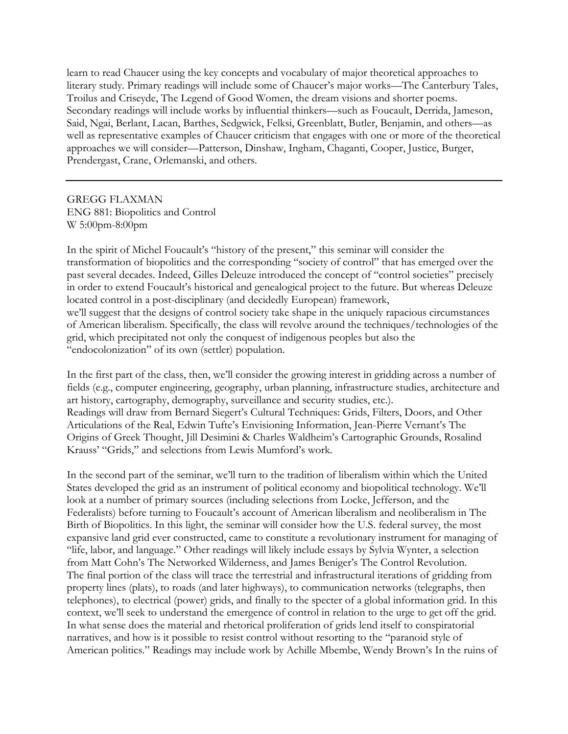learn to read Chaucer using the key concepts and vocabulary of major theoretical approaches to literary study. Primary readings will include some of Chaucer's major works—The Canterbury Tales, Troilus and Criseyde, The Legend of Good Women, the dream visions and shorter poems. Secondary readings will include works by influential thinkers—such as Foucault, Derrida, Jameson, Said, Ngai, Berlant, Lacan, Barthes, Sedgwick, Felksi, Greenblatt, Butler, Benjamin, and others—as well as representative examples of Chaucer criticism that engages with one or more of the theoretical approaches we will consider—Patterson, Dinshaw, Ingham, Chaganti, Cooper, Justice, Burger, Prendergast, Crane, Orlemanski, and others.

GREGG FLAXMAN ENG 881: Biopolitics and Control W 5:00pm-8:00pm

In the spirit of Michel Foucault's "history of the present," this seminar will consider the transformation of biopolitics and the corresponding "society of control" that has emerged over the past several decades. Indeed, Gilles Deleuze introduced the concept of "control societies" precisely in order to extend Foucault's historical and genealogical project to the future. But whereas Deleuze located control in a post-disciplinary (and decidedly European) framework, we'll suggest that the designs of control society take shape in the uniquely rapacious circumstances of American liberalism. Specifically, the class will revolve around the techniques/technologies of the grid, which precipitated not only the conquest of indigenous peoples but also the "endocolonization" of its own (settler) population.

In the first part of the class, then, we'll consider the growing interest in gridding across a number of fields (e.g., computer engineering, geography, urban planning, infrastructure studies, architecture and art history, cartography, demography, surveillance and security studies, etc.). Readings will draw from Bernard Siegert's Cultural Techniques: Grids, Filters, Doors, and Other Articulations of the Real, Edwin Tufte's Envisioning Information, Jean-Pierre Vernant's The Origins of Greek Thought, Jill Desimini & Charles Waldheim's Cartographic Grounds, Rosalind Krauss' "Grids," and selections from Lewis Mumford's work.

In the second part of the seminar, we'll turn to the tradition of liberalism within which the United States developed the grid as an instrument of political economy and biopolitical technology. We'll look at a number of primary sources (including selections from Locke, Jefferson, and the Federalists) before turning to Foucault's account of American liberalism and neoliberalism in The Birth of Biopolitics. In this light, the seminar will consider how the U.S. federal survey, the most expansive land grid ever constructed, came to constitute a revolutionary instrument for managing of "life, labor, and language." Other readings will likely include essays by Sylvia Wynter, a selection from Matt Cohn's The Networked Wilderness, and James Beniger's The Control Revolution. The final portion of the class will trace the terrestrial and infrastructural iterations of gridding from property lines (plats), to roads (and later highways), to communication networks (telegraphs, then telephones), to electrical (power) grids, and finally to the specter of a global information grid. In this context, we'll seek to understand the emergence of control in relation to the urge to get off the grid. In what sense does the material and rhetorical proliferation of grids lend itself to conspiratorial narratives, and how is it possible to resist control without resorting to the "paranoid style of American politics." Readings may include work by Achille Mbembe, Wendy Brown's In the ruins of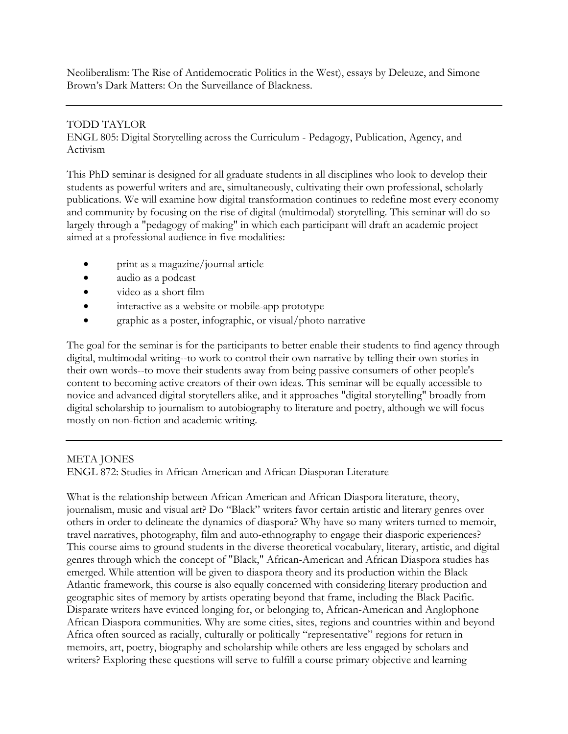Neoliberalism: The Rise of Antidemocratic Politics in the West), essays by Deleuze, and Simone Brown's Dark Matters: On the Surveillance of Blackness.

## TODD TAYLOR

ENGL 805: Digital Storytelling across the Curriculum - Pedagogy, Publication, Agency, and Activism

This PhD seminar is designed for all graduate students in all disciplines who look to develop their students as powerful writers and are, simultaneously, cultivating their own professional, scholarly publications. We will examine how digital transformation continues to redefine most every economy and community by focusing on the rise of digital (multimodal) storytelling. This seminar will do so largely through a "pedagogy of making" in which each participant will draft an academic project aimed at a professional audience in five modalities:

- print as a magazine/journal article
- audio as a podcast
- video as a short film
- interactive as a website or mobile-app prototype
- graphic as a poster, infographic, or visual/photo narrative

The goal for the seminar is for the participants to better enable their students to find agency through digital, multimodal writing--to work to control their own narrative by telling their own stories in their own words--to move their students away from being passive consumers of other people's content to becoming active creators of their own ideas. This seminar will be equally accessible to novice and advanced digital storytellers alike, and it approaches "digital storytelling" broadly from digital scholarship to journalism to autobiography to literature and poetry, although we will focus mostly on non-fiction and academic writing.

### META JONES

ENGL 872: Studies in African American and African Diasporan Literature

What is the relationship between African American and African Diaspora literature, theory, journalism, music and visual art? Do "Black" writers favor certain artistic and literary genres over others in order to delineate the dynamics of diaspora? Why have so many writers turned to memoir, travel narratives, photography, film and auto-ethnography to engage their diasporic experiences? This course aims to ground students in the diverse theoretical vocabulary, literary, artistic, and digital genres through which the concept of "Black," African-American and African Diaspora studies has emerged. While attention will be given to diaspora theory and its production within the Black Atlantic framework, this course is also equally concerned with considering literary production and geographic sites of memory by artists operating beyond that frame, including the Black Pacific. Disparate writers have evinced longing for, or belonging to, African-American and Anglophone African Diaspora communities. Why are some cities, sites, regions and countries within and beyond Africa often sourced as racially, culturally or politically "representative" regions for return in memoirs, art, poetry, biography and scholarship while others are less engaged by scholars and writers? Exploring these questions will serve to fulfill a course primary objective and learning